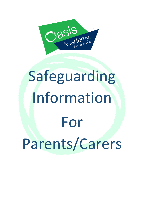

# Safeguarding Information For Parents/Carers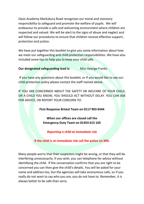Oasis Academy Marksbury Road recognises our moral and statutory responsibility to safeguard and promote the welfare of pupils. We will endeavour to provide a safe and welcoming environment where children are respected and valued. We will be alert to the signs of abuse and neglect and will follow our procedures to ensure that children receive effective support, protection and justice.

We have put together this booklet to give you some information about how we meet our safeguarding and child protection responsibilities. We have also included some tips to help you to keep your child safe.

**Our designated safeguarding lead is:** Miss George Franks

If you have any questions about this booklet, or if you would like to see our child protection policy please contact the staff named above.

IF YOU ARE CONCERNED ABOUT THE SAFETY OR WELFARE OF YOUR CHILD, OR A CHILD YOU KNOW, YOU SHOULD ACT WITHOUT DELAY. YOU CAN ASK FOR ADVICE, OR REPORT YOUR CONCERN TO:

**First Response Bristol Team on 0117 903 6444**

**When our offices are closed call the Emergency Duty Team on 01454 615 165**

*Reporting a child at immediate risk*

**If the child is at immediate risk call the police on 999.**

Many people worry that their suspicions might be wrong, or that they will be interfering unnecessarily. If you wish, you can telephone for advice without identifying the child. If the conversation confirms that you are right to be concerned you can then give the child's details. You will be asked for your name and address too, but the agencies will take anonymous calls, so if you really do not want to say who you are, you do not have to. Remember, it is always better to be safe than sorry.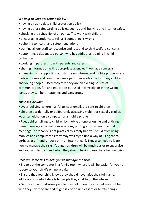#### *We help to keep students safe by:*

- having an up to date child protection policy
- having other safeguarding policies, such as anti-bullying and internet safety
- checking the suitability of all our staff to work with children
- encouraging students to tell us if something is wrong
- adhering to health and safety regulations
- training all our staff to recognise and respond to child welfare concerns
- appointing a designated person who has additional training in child protection
- working in partnership with parents and carers
- sharing information with appropriate agencies if we have concerns

 managing and supporting our staff team Internet and mobile phone safety: mobile phones and computers are a part of everyday life for many children and young people. Used correctly, they are an exciting source of communication, fun and education but used incorrectly, or in the wrong hands they can be threatening and dangerous.

## *The risks include:*

- cyber-bullying, where hurtful texts or emails are sent to children
- children accidentally or deliberately accessing violent or sexually explicit websites, either on a computer or a mobile phone

• Paedophiles talking to children by mobile phone or online and enticing them to engage in sexual conversations, photographs, video or actual meetings. It probably is not practical to simply ban your child from using mobiles and computers as they may well try to find a way of using them, perhaps at a friend's house or in an internet café. They also need to learn how to manage the risks. Younger children will be much easier to supervise and you will decide if and when they should begin to use these technologies.

# *Here are some tips to help you to manage the risks:*

 Try to put the computer in a family room where it will be easier for you to supervise your child's online activity.

- Ensure that your child knows they should never give their full name, address and contact details to people they chat to on the internet.
- Gently explain that some people they talk to on the internet may not be who they say they are and might say or do unpleasant or hurtful things.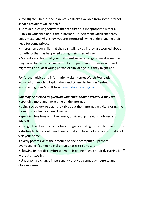Investigate whether the 'parental controls' available from some internet service providers will be helpful.

Consider installing software that can filter out inappropriate material.

 Talk to your child about their internet use. Ask them which sites they enjoy most, and why. Show you are interested, while understanding their need for some privacy.

 Impress on your child that they can talk to you if they are worried about something that has happened during their internet use.

 Make it very clear that your child must never arrange to meet someone they have chatted to online without your permission. Their new 'friend' might well be a local young person of similar age, but they might not.

For further advice and information visit: Internet Watch Foundation: www.iwf.org.uk Child Exploitation and Online Protection Centre: www.ceop.gov.uk Stop It Now[! www.stopitnow.org.uk](http://www.stopitnow.org.uk/)

#### *You may be alerted to question your child's online activity if they are:*

- spending more and more time on the internet
- being secretive reluctant to talk about their internet activity, closing the screen page when you are close by
- spending less time with the family, or giving up previous hobbies and interests
- losing interest in their schoolwork, regularly failing to complete homework
- starting to talk about 'new friends' that you have not met and who do not visit your home
- overly possessive of their mobile phone or computer perhaps overreacting if someone picks it up or asks to borrow it
- showing fear or discomfort when their phone rings, or quickly turning it off without answering
- Undergoing a change in personality that you cannot attribute to any obvious cause.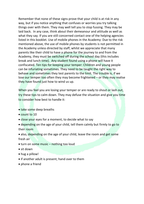Remember that none of these signs prove that your child is at risk in any way, but if you notice anything that confuses or worries you try talking things over with them. They may well tell you to stop fussing. They may be laid back. In any case, think about their demeanour and attitude as well as what they say. If you are still concerned contact one of the helping agencies listed in this booklet. Use of mobile phones in the Academy: Due to the risk mentioned above, the use of mobile phones by students is not permitted in the Academy unless directed by staff, whilst we appreciate that many parents like their child to have a phone for the journey to and from the Academy, they must be switched off during the school day (this includes break and lunch time). Any student found using a phone will have it confiscated. Ten tips for keeping your temper: Children and young people can be infuriating sometimes. They need to be taught the right way to behave and sometimes they test parents to the limit. The trouble is, if we lose our temper too often they may become frightened – or they may realise they have found just how to wind us up.

When you feel you are losing your temper or are ready to shout or lash out, try these tips to calm down. They may defuse the situation and give you time to consider how best to handle it:

- take some deep breaths
- $\bullet$  count to 10
- close your eyes for a moment, to decide what to say
- depending on the age of your child, tell them calmly but firmly to go to their room

• also, depending on the age of your child, leave the room and get some fresh air

- turn on some music nothing too loud
- sit down
- hug a pillow!
- if another adult is present, hand over to them
- phone a friend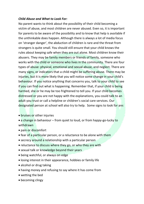#### *Child Abuse and What to Look For:*

No parent wants to think about the possibility of their child becoming a victim of abuse, and most children are never abused. Even so, it is important for parents to be aware of the possibility and to know that help is available if the unthinkable does happen. Although there is always a lot of media focus on 'stranger danger', the abduction of children is rare and the threat from strangers is quite small. You should still ensure that your child knows the rules about keeping safe when they are out alone. Most children know their abusers. They may be family members or friends of family, someone who works with the child or someone who lives in the community. There are four types of abuse: physical, emotional and sexual abuse, and neglect. There are many signs, or indicators that a child might be suffering abuse. There may be injuries, but it is more likely that you will notice some change in your child's behaviour. If you notice anything that concerns you, talk to your child to see if you can find out what is happening. Remember that, if your child is being harmed, she or he may be too frightened to tell you. If your child becomes distressed or you are not happy with the explanations, you could talk to an adult you trust or call a helpline or children's social care services. Our designated person at school will also try to help. Some signs to look for are:

- bruises or other injuries
- a change in behaviour from quiet to loud, or from happy-go-lucky to withdrawn
- pain or discomfort
- fear of a particular person, or a reluctance to be alone with them
- secrecy around a relationship with a particular person
- reluctance to discuss where they go, or who they are with
- sexual talk or knowledge beyond their years
- being watchful, or always on edge
- losing interest in their appearance, hobbies or family life
- alcohol or drug taking
- having money and refusing to say where it has come from
- wetting the bed
- becoming clingy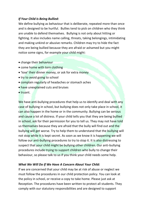### *If Your Child Is Being Bullied:*

We define bullying as behaviour that is deliberate, repeated more than once and is designed to be hurtful. Bullies tend to pick on children who they think are unable to defend themselves. Bullying is not only about hitting or fighting. It also includes name calling, threats, taking belongings, intimidating and making unkind or abusive remarks. Children may try to hide the fact they are being bullied because they are afraid or ashamed but you might notice some signs, for example your child might:

- change their behaviour
- come home with torn clothing
- 'lose' their dinner money, or ask for extra money
- try to avoid going to school
- complain regularly of headaches or stomach aches
- have unexplained cuts and bruises
- $\bullet$  truant.

We have anti-bullying procedures that help us to identify and deal with any case of bullying in school, but bullying does not only take place in school, it can also happen in the home or in the community. Bullying can be serious and cause a lot of distress. If your child tells you that they are being bullied in school, ask for their permission for you to tell us. They may not have told us themselves because they are afraid that the bully will find out and the bullying will get worse. Try to help them to understand that the bullying will not stop while it is kept secret. As soon as we know it is happening we will follow our anti-bullying procedures to try to stop it. It is also distressing to suspect that your child might be bullying other children. Our anti-bullying procedures include trying to support children who bully to change their behaviour, so please talk to us if you think your child needs some help.

## *What We Will Do If We Have A Concern About Your Child:*

If we are concerned that your child may be at risk of abuse or neglect we must follow the procedures in our child protection policy. You can look at the policy in school, or receive a copy to take home. Please just ask at Reception. The procedures have been written to protect all students. They comply with our statutory responsibilities and are designed to support